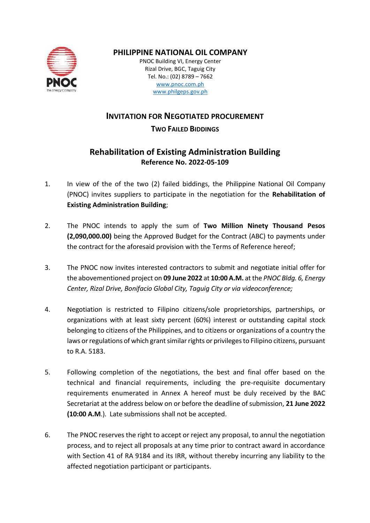

**PHILIPPINE NATIONAL OIL COMPANY**

PNOC Building VI, Energy Center Rizal Drive, BGC, Taguig City Tel. No.: (02) 8789 – 7662 [www.pnoc.com.ph](http://www.pnoc.com.ph/) [www.philgeps.gov.ph](http://www.philgeps.gov.ph/)

# **INVITATION FOR NEGOTIATED PROCUREMENT**

# **TWO FAILED BIDDINGS**

# **Rehabilitation of Existing Administration Building Reference No. 2022-05-109**

- 1. In view of the of the two (2) failed biddings, the Philippine National Oil Company (PNOC) invites suppliers to participate in the negotiation for the **Rehabilitation of Existing Administration Building**;
- 2. The PNOC intends to apply the sum of **Two Million Ninety Thousand Pesos (2,090,000.00)** being the Approved Budget for the Contract (ABC) to payments under the contract for the aforesaid provision with the Terms of Reference hereof;
- 3. The PNOC now invites interested contractors to submit and negotiate initial offer for the abovementioned project on **09 June 2022** at **10:00 A.M.** at the *PNOC Bldg. 6, Energy Center, Rizal Drive, Bonifacio Global City, Taguig City or via videoconference;*
- 4. Negotiation is restricted to Filipino citizens/sole proprietorships, partnerships, or organizations with at least sixty percent (60%) interest or outstanding capital stock belonging to citizens of the Philippines, and to citizens or organizations of a country the laws or regulations of which grant similar rights or privileges to Filipino citizens, pursuant to R.A. 5183.
- 5. Following completion of the negotiations, the best and final offer based on the technical and financial requirements, including the pre-requisite documentary requirements enumerated in Annex A hereof must be duly received by the BAC Secretariat at the address below on or before the deadline of submission, **21 June 2022 (10:00 A.M**.). Late submissions shall not be accepted.
- 6. The PNOC reserves the right to accept or reject any proposal, to annul the negotiation process, and to reject all proposals at any time prior to contract award in accordance with Section 41 of RA 9184 and its IRR, without thereby incurring any liability to the affected negotiation participant or participants.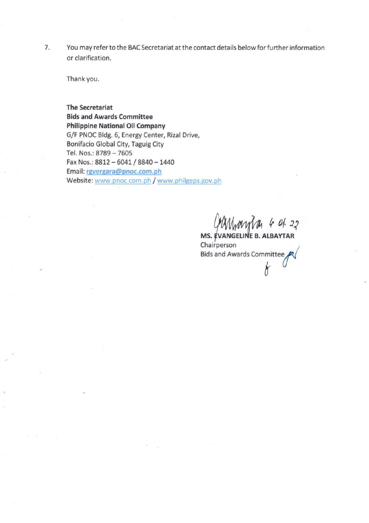$7.$ You may refer to the BAC Secretariat at the contact details below for further information or clarification.

Thank you.

**The Secretariat Bids and Awards Committee Philippine National Oil Company** G/F PNOC Bldg. 6, Energy Center, Rizal Drive, Bonifacio Global City, Taguig City Tel. Nos.: 8789 - 7605 Fax Nos.: 8812 - 6041 / 8840 - 1440 Email: rgvergara@pnoc.com.ph Website: www.pnoc.com.ph / www.philgeps.gov.ph

 $01.22$ yanton

MS. EVANGELINE B. ALBAYTAR Chairperson Bids and Awards Committee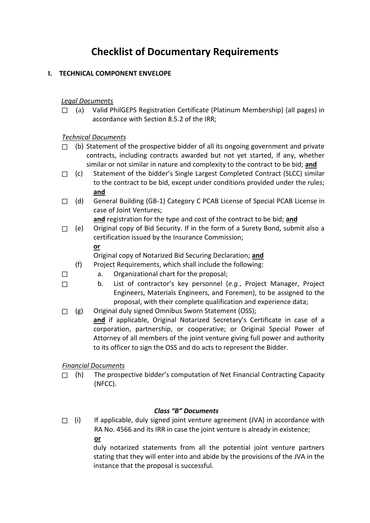# **Checklist of Documentary Requirements**

# **I. TECHNICAL COMPONENT ENVELOPE**

# *Legal Documents*

⬜ (a) Valid PhilGEPS Registration Certificate (Platinum Membership) (all pages) in accordance with Section 8.5.2 of the IRR;

#### *Technical Documents*

- $\Box$  (b) Statement of the prospective bidder of all its ongoing government and private contracts, including contracts awarded but not yet started, if any, whether similar or not similar in nature and complexity to the contract to be bid; **and**
- $\Box$  (c) Statement of the bidder's Single Largest Completed Contract (SLCC) similar to the contract to be bid, except under conditions provided under the rules; **and**
- ⬜ (d) General Building (GB-1) Category C PCAB License of Special PCAB License in case of Joint Ventures;

**and** registration for the type and cost of the contract to be bid; **and**

 $\Box$  (e) Original copy of Bid Security. If in the form of a Surety Bond, submit also a certification issued by the Insurance Commission; **or**

Original copy of Notarized Bid Securing Declaration; **and**

- (f) Project Requirements, which shall include the following:
- □ a. Organizational chart for the proposal;
- ⬜ b. List of contractor's key personnel (*e.g.*, Project Manager, Project Engineers, Materials Engineers, and Foremen), to be assigned to the proposal, with their complete qualification and experience data;
- $\Box$  (g) Original duly signed Omnibus Sworn Statement (OSS); **and** if applicable, Original Notarized Secretary's Certificate in case of a corporation, partnership, or cooperative; or Original Special Power of Attorney of all members of the joint venture giving full power and authority to its officer to sign the OSS and do acts to represent the Bidder.

*Financial Documents*

 $\Box$  (h) The prospective bidder's computation of Net Financial Contracting Capacity (NFCC).

# *Class "B" Documents*

 $\Box$  (i) If applicable, duly signed joint venture agreement (JVA) in accordance with RA No. 4566 and its IRR in case the joint venture is already in existence; **or** 

> duly notarized statements from all the potential joint venture partners stating that they will enter into and abide by the provisions of the JVA in the instance that the proposal is successful.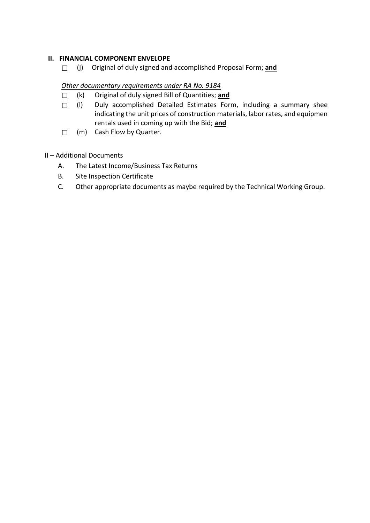# **II. FINANCIAL COMPONENT ENVELOPE**

⬜ (j) Original of duly signed and accomplished Proposal Form; **and**

### *Other documentary requirements under RA No. 9184*

- ⬜ (k) Original of duly signed Bill of Quantities; **and**
- $\Box$  (I) Duly accomplished Detailed Estimates Form, including a summary sheet indicating the unit prices of construction materials, labor rates, and equipment rentals used in coming up with the Bid; **and**
- □ (m) Cash Flow by Quarter.
- II Additional Documents
	- A. The Latest Income/Business Tax Returns
	- B. Site Inspection Certificate
	- C. Other appropriate documents as maybe required by the Technical Working Group.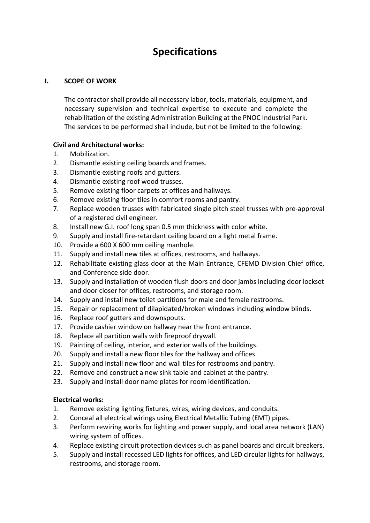# **Specifications**

#### **I. SCOPE OF WORK**

The contractor shall provide all necessary labor, tools, materials, equipment, and necessary supervision and technical expertise to execute and complete the rehabilitation of the existing Administration Building at the PNOC Industrial Park. The services to be performed shall include, but not be limited to the following:

#### **Civil and Architectural works:**

- 1. Mobilization.
- 2. Dismantle existing ceiling boards and frames.
- 3. Dismantle existing roofs and gutters.
- 4. Dismantle existing roof wood trusses.
- 5. Remove existing floor carpets at offices and hallways.
- 6. Remove existing floor tiles in comfort rooms and pantry.
- 7. Replace wooden trusses with fabricated single pitch steel trusses with pre-approval of a registered civil engineer.
- 8. Install new G.I. roof long span 0.5 mm thickness with color white.
- 9. Supply and install fire-retardant ceiling board on a light metal frame.
- 10. Provide a 600 X 600 mm ceiling manhole.
- 11. Supply and install new tiles at offices, restrooms, and hallways.
- 12. Rehabilitate existing glass door at the Main Entrance, CFEMD Division Chief office, and Conference side door.
- 13. Supply and installation of wooden flush doors and door jambs including door lockset and door closer for offices, restrooms, and storage room.
- 14. Supply and install new toilet partitions for male and female restrooms.
- 15. Repair or replacement of dilapidated/broken windows including window blinds.
- 16. Replace roof gutters and downspouts.
- 17. Provide cashier window on hallway near the front entrance.
- 18. Replace all partition walls with fireproof drywall.
- 19. Painting of ceiling, interior, and exterior walls of the buildings.
- 20. Supply and install a new floor tiles for the hallway and offices.
- 21. Supply and install new floor and wall tiles for restrooms and pantry.
- 22. Remove and construct a new sink table and cabinet at the pantry.
- 23. Supply and install door name plates for room identification.

# **Electrical works:**

- 1. Remove existing lighting fixtures, wires, wiring devices, and conduits.
- 2. Conceal all electrical wirings using Electrical Metallic Tubing (EMT) pipes.
- 3. Perform rewiring works for lighting and power supply, and local area network (LAN) wiring system of offices.
- 4. Replace existing circuit protection devices such as panel boards and circuit breakers.
- 5. Supply and install recessed LED lights for offices, and LED circular lights for hallways, restrooms, and storage room.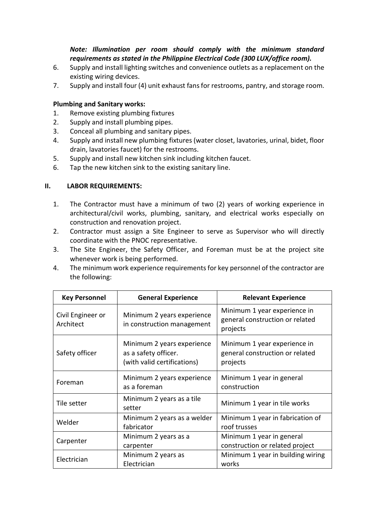# *Note: Illumination per room should comply with the minimum standard requirements as stated in the Philippine Electrical Code (300 LUX/office room).*

- 6. Supply and install lighting switches and convenience outlets as a replacement on the existing wiring devices.
- 7. Supply and install four (4) unit exhaust fans for restrooms, pantry, and storage room.

# **Plumbing and Sanitary works:**

- 1. Remove existing plumbing fixtures
- 2. Supply and install plumbing pipes.
- 3. Conceal all plumbing and sanitary pipes.
- 4. Supply and install new plumbing fixtures (water closet, lavatories, urinal, bidet, floor drain, lavatories faucet) for the restrooms.
- 5. Supply and install new kitchen sink including kitchen faucet.
- 6. Tap the new kitchen sink to the existing sanitary line.

# **II. LABOR REQUIREMENTS:**

- 1. The Contractor must have a minimum of two (2) years of working experience in architectural/civil works, plumbing, sanitary, and electrical works especially on construction and renovation project.
- 2. Contractor must assign a Site Engineer to serve as Supervisor who will directly coordinate with the PNOC representative.
- 3. The Site Engineer, the Safety Officer, and Foreman must be at the project site whenever work is being performed.
- 4. The minimum work experience requirements for key personnel of the contractor are the following:

| <b>Key Personnel</b>           | <b>General Experience</b>                                                         | <b>Relevant Experience</b>                                                  |
|--------------------------------|-----------------------------------------------------------------------------------|-----------------------------------------------------------------------------|
| Civil Engineer or<br>Architect | Minimum 2 years experience<br>in construction management                          | Minimum 1 year experience in<br>general construction or related<br>projects |
| Safety officer                 | Minimum 2 years experience<br>as a safety officer.<br>(with valid certifications) | Minimum 1 year experience in<br>general construction or related<br>projects |
| Foreman                        | Minimum 2 years experience<br>as a foreman                                        | Minimum 1 year in general<br>construction                                   |
| Tile setter                    | Minimum 2 years as a tile<br>setter                                               | Minimum 1 year in tile works                                                |
| Welder                         | Minimum 2 years as a welder<br>fabricator                                         | Minimum 1 year in fabrication of<br>roof trusses                            |
| Carpenter                      | Minimum 2 years as a<br>carpenter                                                 | Minimum 1 year in general<br>construction or related project                |
| Electrician                    | Minimum 2 years as<br>Electrician                                                 | Minimum 1 year in building wiring<br>works                                  |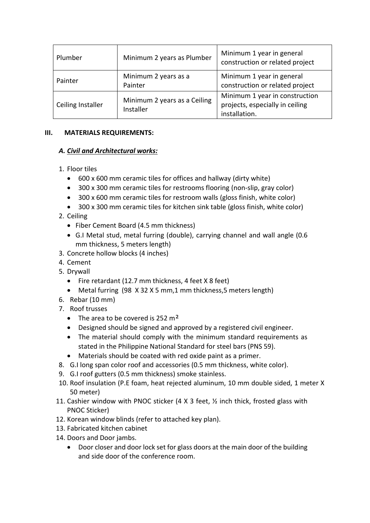| Plumber           | Minimum 2 years as Plumber                | Minimum 1 year in general<br>construction or related project                       |
|-------------------|-------------------------------------------|------------------------------------------------------------------------------------|
| Painter           | Minimum 2 years as a<br>Painter           | Minimum 1 year in general<br>construction or related project                       |
| Ceiling Installer | Minimum 2 years as a Ceiling<br>Installer | Minimum 1 year in construction<br>projects, especially in ceiling<br>installation. |

# **III. MATERIALS REQUIREMENTS:**

# *A. Civil and Architectural works:*

- 1. Floor tiles
	- 600 x 600 mm ceramic tiles for offices and hallway (dirty white)
	- 300 x 300 mm ceramic tiles for restrooms flooring (non-slip, gray color)
	- 300 x 600 mm ceramic tiles for restroom walls (gloss finish, white color)
	- 300 x 300 mm ceramic tiles for kitchen sink table (gloss finish, white color)
- 2. Ceiling
	- Fiber Cement Board (4.5 mm thickness)
	- G.I Metal stud, metal furring (double), carrying channel and wall angle (0.6 mm thickness, 5 meters length)
- 3. Concrete hollow blocks (4 inches)
- 4. Cement
- 5. Drywall
	- Fire retardant (12.7 mm thickness, 4 feet X 8 feet)
	- Metal furring (98 X 32 X 5 mm,1 mm thickness,5 meters length)
- 6. Rebar (10 mm)
- 7. Roof trusses
	- The area to be covered is 252  $m<sup>2</sup>$
	- Designed should be signed and approved by a registered civil engineer.
	- The material should comply with the minimum standard requirements as stated in the Philippine National Standard for steel bars (PNS 59).
	- Materials should be coated with red oxide paint as a primer.
- 8. G.I long span color roof and accessories (0.5 mm thickness, white color).
- 9. G.I roof gutters (0.5 mm thickness) smoke stainless.
- 10. Roof insulation (P.E foam, heat rejected aluminum, 10 mm double sided, 1 meter X 50 meter)
- 11. Cashier window with PNOC sticker (4 X 3 feet, ½ inch thick, frosted glass with PNOC Sticker)
- 12. Korean window blinds (refer to attached key plan).
- 13. Fabricated kitchen cabinet
- 14. Doors and Door jambs.
	- Door closer and door lock set for glass doors at the main door of the building and side door of the conference room.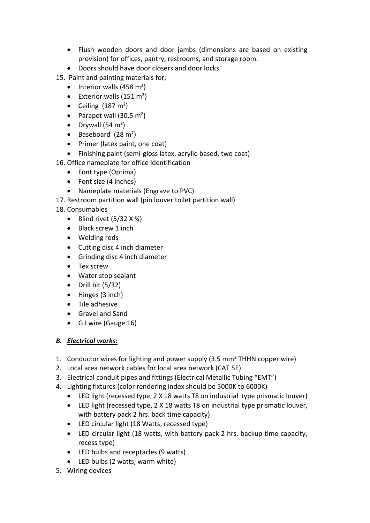- Flush wooden doors and door jambs (dimensions are based on existing provision) for offices, pantry, restrooms, and storage room.
- Doors should have door closers and door locks.
- 15. Paint and painting materials for;
	- $\bullet$  Interior walls (458 m<sup>2</sup>)
	- Exterior walls  $(151 \text{ m}^2)$
	- $\bullet$  Ceiling (187 m<sup>2</sup>)
	- Parapet wall  $(30.5 \text{ m}^2)$
	- Drywall  $(54 \text{ m}^2)$
	- $\bullet$  Baseboard (28 m<sup>2</sup>)
	- Primer (latex paint, one coat)
	- Finishing paint (semi-gloss latex, acrylic-based, two coat)

16. Office nameplate for office identification

- Font type (Optima)
- Font size (4 inches)
- Nameplate materials (Engrave to PVC)
- 17. Restroom partition wall (pin louver toilet partition wall)
- 18. Consumables
	- Blind rivet  $(5/32 \times 34)$
	- Black screw 1 inch
	- Welding rods
	- Cutting disc 4 inch diameter
	- Grinding disc 4 inch diameter
	- Tex screw
	- Water stop sealant
	- $\bullet$  Drill bit (5/32)
	- Hinges (3 inch)
	- Tile adhesive
	- Gravel and Sand
	- G.I wire (Gauge 16)

# *B. Electrical works:*

- 1. Conductor wires for lighting and power supply (3.5 mm² THHN copper wire)
- 2. Local area network cables for local area network (CAT 5E)
- 3. Electrical conduit pipes and fittings (Electrical Metallic Tubing "EMT")
- 4. Lighting fixtures (color rendering index should be 5000K to 6000K)
	- LED light (recessed type, 2 X 18 watts T8 on industrial type prismatic louver)
	- LED light (recessed type, 2 X 18 watts T8 on industrial type prismatic louver, with battery pack 2 hrs. back time capacity)
	- LED circular light (18 Watts, recessed type)
	- LED circular light (18 watts, with battery pack 2 hrs. backup time capacity, recess type)
	- LED bulbs and receptacles (9 watts)
	- LED bulbs (2 watts, warm white)
- 5. Wiring devices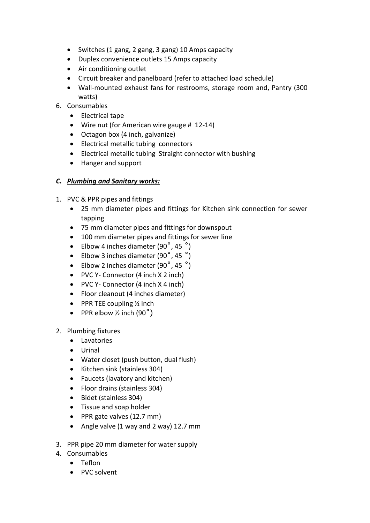- Switches (1 gang, 2 gang, 3 gang) 10 Amps capacity
- Duplex convenience outlets 15 Amps capacity
- Air conditioning outlet
- Circuit breaker and panelboard (refer to attached load schedule)
- Wall-mounted exhaust fans for restrooms, storage room and, Pantry (300 watts)
- 6. Consumables
	- Electrical tape
	- Wire nut (for American wire gauge # 12-14)
	- Octagon box (4 inch, galvanize)
	- Electrical metallic tubing connectors
	- Electrical metallic tubing Straight connector with bushing
	- Hanger and support

# *C. Plumbing and Sanitary works:*

- 1. PVC & PPR pipes and fittings
	- 25 mm diameter pipes and fittings for Kitchen sink connection for sewer tapping
	- 75 mm diameter pipes and fittings for downspout
	- 100 mm diameter pipes and fittings for sewer line
	- Elbow 4 inches diameter  $(90^\circ, 45^\circ)$
	- Elbow 3 inches diameter  $(90^\circ, 45^\circ)$
	- Elbow 2 inches diameter (90˚, 45 ˚)
	- PVC Y- Connector (4 inch X 2 inch)
	- PVC Y- Connector (4 inch X 4 inch)
	- Floor cleanout (4 inches diameter)
	- PPR TEE coupling  $\frac{1}{2}$  inch
	- PPR elbow  $\frac{1}{2}$  inch (90<sup>°</sup>)
- 2. Plumbing fixtures
	- Lavatories
	- Urinal
	- Water closet (push button, dual flush)
	- Kitchen sink (stainless 304)
	- Faucets (lavatory and kitchen)
	- Floor drains (stainless 304)
	- Bidet (stainless 304)
	- Tissue and soap holder
	- PPR gate valves (12.7 mm)
	- Angle valve (1 way and 2 way) 12.7 mm
- 3. PPR pipe 20 mm diameter for water supply
- 4. Consumables
	- Teflon
	- PVC solvent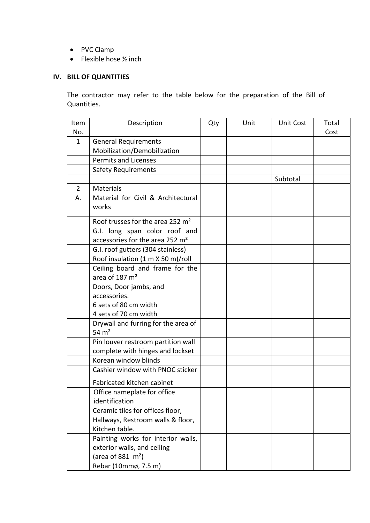- PVC Clamp
- Flexible hose ½ inch

# **IV. BILL OF QUANTITIES**

The contractor may refer to the table below for the preparation of the Bill of Quantities.

| Item           | Description                                                                              | Qty | Unit | <b>Unit Cost</b> | Total |
|----------------|------------------------------------------------------------------------------------------|-----|------|------------------|-------|
| No.            |                                                                                          |     |      |                  | Cost  |
| $\mathbf{1}$   | <b>General Requirements</b>                                                              |     |      |                  |       |
|                | Mobilization/Demobilization                                                              |     |      |                  |       |
|                | <b>Permits and Licenses</b>                                                              |     |      |                  |       |
|                | <b>Safety Requirements</b>                                                               |     |      |                  |       |
|                |                                                                                          |     |      | Subtotal         |       |
| $\overline{2}$ | Materials                                                                                |     |      |                  |       |
| А.             | Material for Civil & Architectural<br>works                                              |     |      |                  |       |
|                | Roof trusses for the area 252 m <sup>2</sup>                                             |     |      |                  |       |
|                | G.I. long span color roof and<br>accessories for the area 252 m <sup>2</sup>             |     |      |                  |       |
|                | G.I. roof gutters (304 stainless)                                                        |     |      |                  |       |
|                | Roof insulation (1 m X 50 m)/roll                                                        |     |      |                  |       |
|                | Ceiling board and frame for the<br>area of $187 \text{ m}^2$                             |     |      |                  |       |
|                | Doors, Door jambs, and<br>accessories.<br>6 sets of 80 cm width<br>4 sets of 70 cm width |     |      |                  |       |
|                | Drywall and furring for the area of<br>54 $m2$                                           |     |      |                  |       |
|                | Pin louver restroom partition wall<br>complete with hinges and lockset                   |     |      |                  |       |
|                | Korean window blinds                                                                     |     |      |                  |       |
|                | Cashier window with PNOC sticker                                                         |     |      |                  |       |
|                | Fabricated kitchen cabinet                                                               |     |      |                  |       |
|                | Office nameplate for office<br>identification                                            |     |      |                  |       |
|                | Ceramic tiles for offices floor,<br>Hallways, Restroom walls & floor,<br>Kitchen table.  |     |      |                  |       |
|                | Painting works for interior walls,<br>exterior walls, and ceiling<br>(area of 881 $m2$ ) |     |      |                  |       |
|                | Rebar (10mmø, 7.5 m)                                                                     |     |      |                  |       |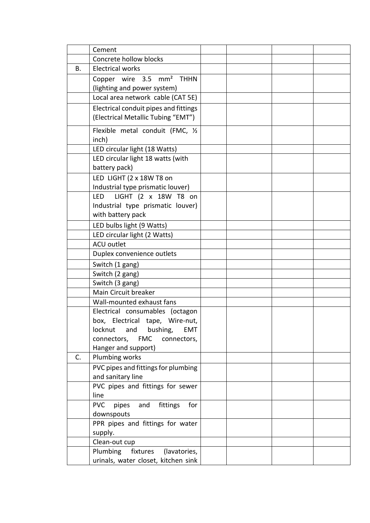|    | Cement                                                   |  |  |
|----|----------------------------------------------------------|--|--|
|    | Concrete hollow blocks                                   |  |  |
| B. | <b>Electrical works</b>                                  |  |  |
|    | Copper wire 3.5 mm <sup>2</sup> THHN                     |  |  |
|    | (lighting and power system)                              |  |  |
|    | Local area network cable (CAT 5E)                        |  |  |
|    | Electrical conduit pipes and fittings                    |  |  |
|    | (Electrical Metallic Tubing "EMT")                       |  |  |
|    | Flexible metal conduit (FMC, 1/2                         |  |  |
|    | inch)                                                    |  |  |
|    | LED circular light (18 Watts)                            |  |  |
|    | LED circular light 18 watts (with                        |  |  |
|    | battery pack)                                            |  |  |
|    | LED LIGHT (2 x 18W T8 on                                 |  |  |
|    | Industrial type prismatic louver)                        |  |  |
|    | LIGHT (2 x 18W T8 on<br>LED                              |  |  |
|    | Industrial type prismatic louver)                        |  |  |
|    | with battery pack                                        |  |  |
|    | LED bulbs light (9 Watts)                                |  |  |
|    | LED circular light (2 Watts)                             |  |  |
|    | <b>ACU outlet</b>                                        |  |  |
|    | Duplex convenience outlets                               |  |  |
|    | Switch (1 gang)                                          |  |  |
|    | Switch (2 gang)                                          |  |  |
|    | Switch (3 gang)                                          |  |  |
|    | Main Circuit breaker                                     |  |  |
|    | Wall-mounted exhaust fans                                |  |  |
|    | Electrical consumables (octagon                          |  |  |
|    | box, Electrical tape, Wire-nut,                          |  |  |
|    | locknut and bushing, EMT                                 |  |  |
|    | connectors,<br><b>FMC</b><br>connectors,                 |  |  |
| C. | Hanger and support)<br>Plumbing works                    |  |  |
|    |                                                          |  |  |
|    | PVC pipes and fittings for plumbing<br>and sanitary line |  |  |
|    | PVC pipes and fittings for sewer                         |  |  |
|    | line                                                     |  |  |
|    | <b>PVC</b><br>fittings<br>for<br>pipes<br>and            |  |  |
|    | downspouts                                               |  |  |
|    | PPR pipes and fittings for water                         |  |  |
|    | supply.                                                  |  |  |
|    | Clean-out cup                                            |  |  |
|    | Plumbing<br>fixtures<br>(lavatories,                     |  |  |
|    | urinals, water closet, kitchen sink                      |  |  |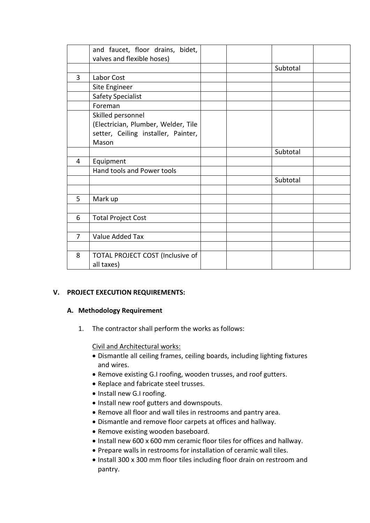|                | and faucet, floor drains, bidet,               |  |          |  |
|----------------|------------------------------------------------|--|----------|--|
|                | valves and flexible hoses)                     |  |          |  |
|                |                                                |  | Subtotal |  |
| 3              | Labor Cost                                     |  |          |  |
|                | Site Engineer                                  |  |          |  |
|                | <b>Safety Specialist</b>                       |  |          |  |
|                | Foreman                                        |  |          |  |
|                | Skilled personnel                              |  |          |  |
|                | (Electrician, Plumber, Welder, Tile            |  |          |  |
|                | setter, Ceiling installer, Painter,            |  |          |  |
|                | Mason                                          |  |          |  |
|                |                                                |  | Subtotal |  |
| 4              | Equipment                                      |  |          |  |
|                | Hand tools and Power tools                     |  |          |  |
|                |                                                |  | Subtotal |  |
|                |                                                |  |          |  |
| 5              | Mark up                                        |  |          |  |
|                |                                                |  |          |  |
| 6              | <b>Total Project Cost</b>                      |  |          |  |
|                |                                                |  |          |  |
| $\overline{7}$ | Value Added Tax                                |  |          |  |
|                |                                                |  |          |  |
| 8              | TOTAL PROJECT COST (Inclusive of<br>all taxes) |  |          |  |

# **V. PROJECT EXECUTION REQUIREMENTS:**

#### **A. Methodology Requirement**

1. The contractor shall perform the works as follows:

Civil and Architectural works:

- Dismantle all ceiling frames, ceiling boards, including lighting fixtures and wires.
- Remove existing G.I roofing, wooden trusses, and roof gutters.
- Replace and fabricate steel trusses.
- Install new G.I roofing.
- Install new roof gutters and downspouts.
- Remove all floor and wall tiles in restrooms and pantry area.
- Dismantle and remove floor carpets at offices and hallway.
- Remove existing wooden baseboard.
- Install new 600 x 600 mm ceramic floor tiles for offices and hallway.
- Prepare walls in restrooms for installation of ceramic wall tiles.
- Install 300 x 300 mm floor tiles including floor drain on restroom and pantry.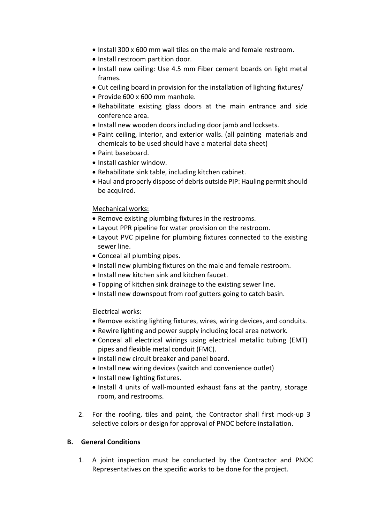- Install 300 x 600 mm wall tiles on the male and female restroom.
- Install restroom partition door.
- Install new ceiling: Use 4.5 mm Fiber cement boards on light metal frames.
- Cut ceiling board in provision for the installation of lighting fixtures/
- Provide 600 x 600 mm manhole.
- Rehabilitate existing glass doors at the main entrance and side conference area.
- Install new wooden doors including door jamb and locksets.
- Paint ceiling, interior, and exterior walls. (all painting materials and chemicals to be used should have a material data sheet)
- Paint baseboard.
- Install cashier window.
- Rehabilitate sink table, including kitchen cabinet.
- Haul and properly dispose of debris outside PIP: Hauling permit should be acquired.

#### Mechanical works:

- Remove existing plumbing fixtures in the restrooms.
- Layout PPR pipeline for water provision on the restroom.
- Layout PVC pipeline for plumbing fixtures connected to the existing sewer line.
- Conceal all plumbing pipes.
- $\bullet$  Install new plumbing fixtures on the male and female restroom.
- Install new kitchen sink and kitchen faucet.
- Topping of kitchen sink drainage to the existing sewer line.
- Install new downspout from roof gutters going to catch basin.

#### Electrical works:

- Remove existing lighting fixtures, wires, wiring devices, and conduits.
- Rewire lighting and power supply including local area network.
- Conceal all electrical wirings using electrical metallic tubing (EMT) pipes and flexible metal conduit (FMC).
- Install new circuit breaker and panel board.
- Install new wiring devices (switch and convenience outlet)
- Install new lighting fixtures.
- Install 4 units of wall-mounted exhaust fans at the pantry, storage room, and restrooms.
- 2. For the roofing, tiles and paint, the Contractor shall first mock-up 3 selective colors or design for approval of PNOC before installation.

#### **B. General Conditions**

1. A joint inspection must be conducted by the Contractor and PNOC Representatives on the specific works to be done for the project.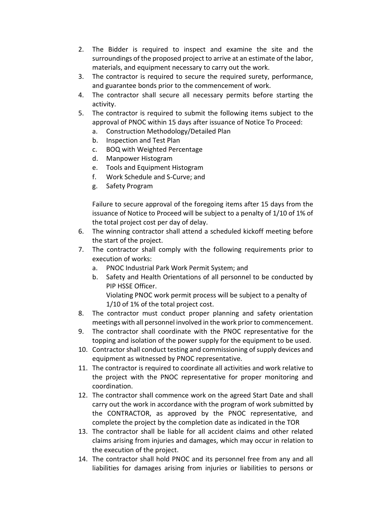- 2. The Bidder is required to inspect and examine the site and the surroundings of the proposed project to arrive at an estimate of the labor, materials, and equipment necessary to carry out the work.
- 3. The contractor is required to secure the required surety, performance, and guarantee bonds prior to the commencement of work.
- 4. The contractor shall secure all necessary permits before starting the activity.
- 5. The contractor is required to submit the following items subject to the approval of PNOC within 15 days after issuance of Notice To Proceed:
	- a. Construction Methodology/Detailed Plan
	- b. Inspection and Test Plan
	- c. BOQ with Weighted Percentage
	- d. Manpower Histogram
	- e. Tools and Equipment Histogram
	- f. Work Schedule and S-Curve; and
	- g. Safety Program

Failure to secure approval of the foregoing items after 15 days from the issuance of Notice to Proceed will be subject to a penalty of 1/10 of 1% of the total project cost per day of delay.

- 6. The winning contractor shall attend a scheduled kickoff meeting before the start of the project.
- 7. The contractor shall comply with the following requirements prior to execution of works:
	- a. PNOC Industrial Park Work Permit System; and
	- b. Safety and Health Orientations of all personnel to be conducted by PIP HSSE Officer.

Violating PNOC work permit process will be subject to a penalty of 1/10 of 1% of the total project cost.

- 8. The contractor must conduct proper planning and safety orientation meetings with all personnel involved in the work prior to commencement.
- 9. The contractor shall coordinate with the PNOC representative for the topping and isolation of the power supply for the equipment to be used.
- 10. Contractor shall conduct testing and commissioning of supply devices and equipment as witnessed by PNOC representative.
- 11. The contractor is required to coordinate all activities and work relative to the project with the PNOC representative for proper monitoring and coordination.
- 12. The contractor shall commence work on the agreed Start Date and shall carry out the work in accordance with the program of work submitted by the CONTRACTOR, as approved by the PNOC representative, and complete the project by the completion date as indicated in the TOR
- 13. The contractor shall be liable for all accident claims and other related claims arising from injuries and damages, which may occur in relation to the execution of the project.
- 14. The contractor shall hold PNOC and its personnel free from any and all liabilities for damages arising from injuries or liabilities to persons or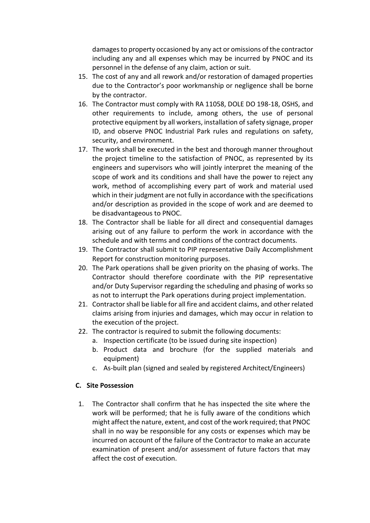damages to property occasioned by any act or omissions of the contractor including any and all expenses which may be incurred by PNOC and its personnel in the defense of any claim, action or suit.

- 15. The cost of any and all rework and/or restoration of damaged properties due to the Contractor's poor workmanship or negligence shall be borne by the contractor.
- 16. The Contractor must comply with RA 11058, DOLE DO 198-18, OSHS, and other requirements to include, among others, the use of personal protective equipment by all workers, installation of safety signage, proper ID, and observe PNOC Industrial Park rules and regulations on safety, security, and environment.
- 17. The work shall be executed in the best and thorough manner throughout the project timeline to the satisfaction of PNOC, as represented by its engineers and supervisors who will jointly interpret the meaning of the scope of work and its conditions and shall have the power to reject any work, method of accomplishing every part of work and material used which in their judgment are not fully in accordance with the specifications and/or description as provided in the scope of work and are deemed to be disadvantageous to PNOC.
- 18. The Contractor shall be liable for all direct and consequential damages arising out of any failure to perform the work in accordance with the schedule and with terms and conditions of the contract documents.
- 19. The Contractor shall submit to PIP representative Daily Accomplishment Report for construction monitoring purposes.
- 20. The Park operations shall be given priority on the phasing of works. The Contractor should therefore coordinate with the PIP representative and/or Duty Supervisor regarding the scheduling and phasing of works so as not to interrupt the Park operations during project implementation.
- 21. Contractor shall be liable for all fire and accident claims, and other related claims arising from injuries and damages, which may occur in relation to the execution of the project.
- 22. The contractor is required to submit the following documents:
	- a. Inspection certificate (to be issued during site inspection)
	- b. Product data and brochure (for the supplied materials and equipment)
	- c. As-built plan (signed and sealed by registered Architect/Engineers)

# **C. Site Possession**

1. The Contractor shall confirm that he has inspected the site where the work will be performed; that he is fully aware of the conditions which might affect the nature, extent, and cost of the work required; that PNOC shall in no way be responsible for any costs or expenses which may be incurred on account of the failure of the Contractor to make an accurate examination of present and/or assessment of future factors that may affect the cost of execution.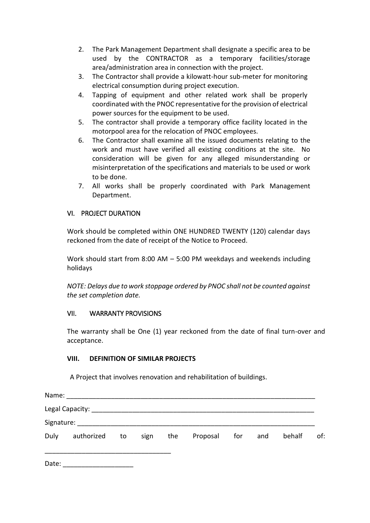- 2. The Park Management Department shall designate a specific area to be used by the CONTRACTOR as a temporary facilities/storage area/administration area in connection with the project.
- 3. The Contractor shall provide a kilowatt-hour sub-meter for monitoring electrical consumption during project execution.
- 4. Tapping of equipment and other related work shall be properly coordinated with the PNOC representative for the provision of electrical power sources for the equipment to be used.
- 5. The contractor shall provide a temporary office facility located in the motorpool area for the relocation of PNOC employees.
- 6. The Contractor shall examine all the issued documents relating to the work and must have verified all existing conditions at the site. No consideration will be given for any alleged misunderstanding or misinterpretation of the specifications and materials to be used or work to be done.
- 7. All works shall be properly coordinated with Park Management Department.

# VI. PROJECT DURATION

Work should be completed within ONE HUNDRED TWENTY (120) calendar days reckoned from the date of receipt of the Notice to Proceed.

Work should start from 8:00 AM – 5:00 PM weekdays and weekends including holidays

*NOTE: Delays due to work stoppage ordered by PNOC shall not be counted against the set completion date.*

# VII. WARRANTY PROVISIONS

The warranty shall be One (1) year reckoned from the date of final turn-over and acceptance.

# **VIII. DEFINITION OF SIMILAR PROJECTS**

A Project that involves renovation and rehabilitation of buildings.

| Duly | authorized | to | sign | the Proposal | for and | behalf | of: |
|------|------------|----|------|--------------|---------|--------|-----|
|      |            |    |      |              |         |        |     |

Date: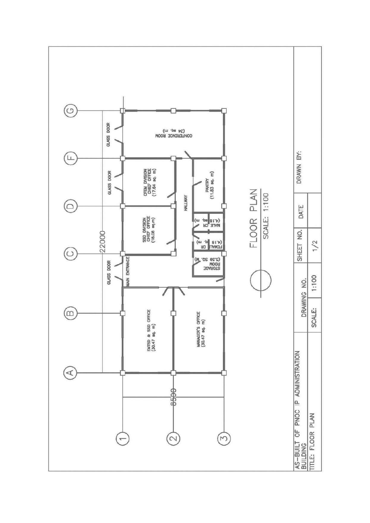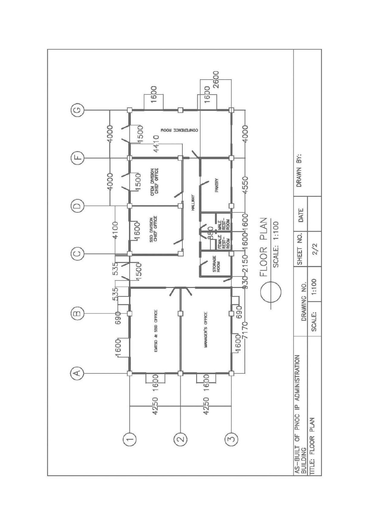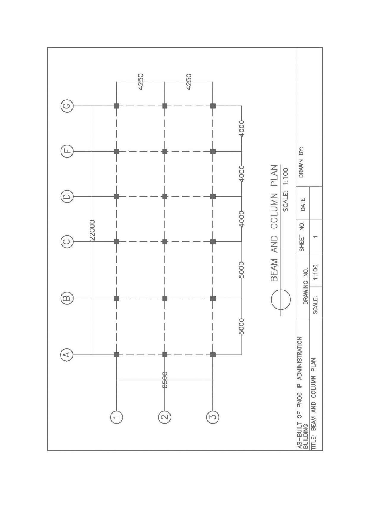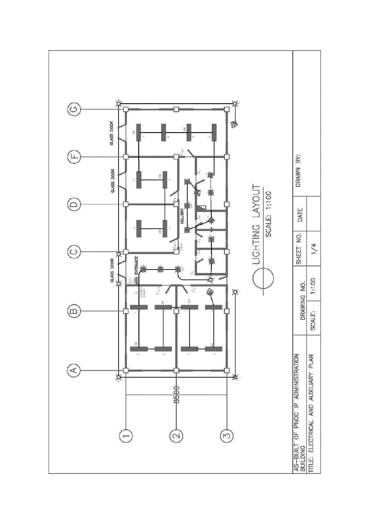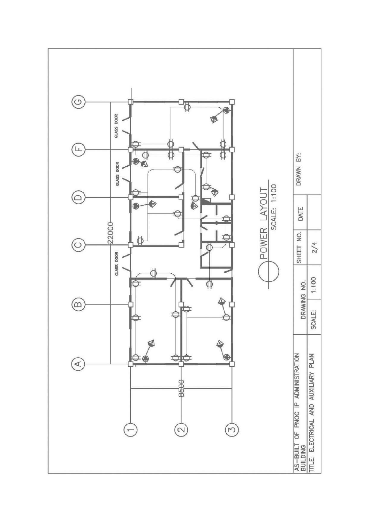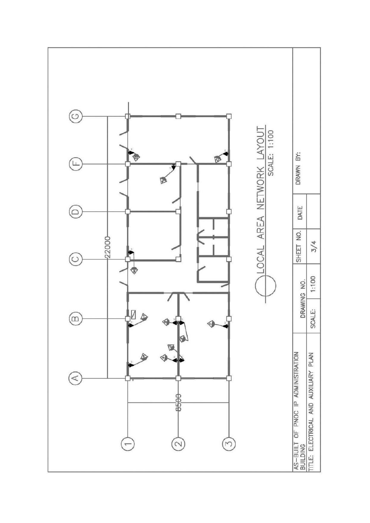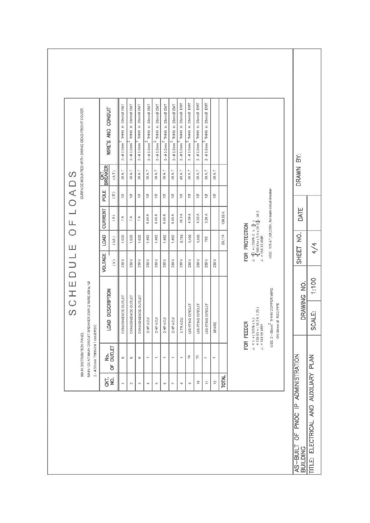| WIRE'S AND CONDUIT<br>SURFACE MOUNTED WITH SWING DEAD FRONT COVER<br>$2 - #5.5mm2$<br>$2 - 43.5$ mm <sup>2</sup> | BREAKER<br>30 A.T<br>$30 A \cdot T$<br>30 A.T<br>30 A.T<br>30 A.T<br>30A.7<br>30 A.T<br>30 A.T<br>40 A.T<br>30 A.T<br>$30 A.T$<br>30 A.T<br>$(\mathbb{A}.\mathsf{T})$<br>OFLOADS | POLE<br>$\left( \begin{smallmatrix} 0 \\ 0 \end{smallmatrix} \right)$<br>10<br>$\overline{\omega}$<br>$10$<br>$\frac{1}{2}$<br>10<br>$\overline{0}$<br>$\overline{a}$<br>$1\textcircled{2}$<br>10<br>$1\oslash$<br>$10$<br>$\overline{\omega}$ | USE: 175 AT,10.230V, for main circuit breaker<br>CURRENT<br>100.83A<br>6.52 A<br>3.04 A<br>38.2 A<br>6.09 A<br>6.48 A<br>6,48 A<br>6.48 A<br>6.48 A<br>(A)<br>7A<br>7A<br>7 A | 4. $\begin{bmatrix} 1 & + (260\% \times 1, 1) - 1, \\ 100.83 + (2.5 \times 38.2) \end{bmatrix}$ - 38.2<br>4. = 158.13 AMP.<br>FOR PROTECTION<br>8.786<br>23,114<br>1,620<br>1,492<br>1,492<br>1,492<br>1,400<br>1,500<br>1,620<br>1,620<br>1,492<br>LOAD<br>$(\forall A)$<br>700 | <b>VOLTAGE</b><br>230 V<br>230 V<br>230V<br>230 V<br>230V<br>230 V<br>230V<br>230V<br>V 062<br>230 V<br>230 V<br>230V<br>$\tilde{\omega}$ | SCHEDULE<br>MAIN:125 A T MAIN CIRCUIT BREAKER 230V 2 WIRE.60Hz.10<br>USE: 2 - 50mm <sup>2</sup> THHN COPPER WIRE<br>LOAD DESCRIPTION<br>CONVENIENCE OUTLET<br>CONVENIENCE OUTLET<br>CONVENIENCE OUTLET<br>ON 50mm Ø RSC PIPE<br>LIGHTING CIRCUIT<br>LIGHTING CIRCUIT<br>LIGHTING CIRCUIT<br>$\begin{array}{ll} \mbox{\scriptsize d.} & = 1. + (125\% \times 1.) \\ & = 100.83 + (38.2 \times 1.25) \\ & \mbox{\scriptsize d.} & = 148.58 \mbox{ AMP} \end{array}$<br>2 HP ACU<br>2 HP ACU<br>2 HP ACU<br>2 HP ACU<br>3 TR ACU<br>FOR FEEDER<br>SPARE | 2-#30 mm THHN IN 1 mmØRSC<br>MAIN DISTRIBUTION PANEL<br>No.<br>OUTLET<br>콛<br>45<br>$\sigma_{\rm f}$<br>$\sigma$<br>$\overline{\phantom{a}}$<br>$\overline{\mathcal{C}}$<br>$\overline{ }$<br>$\frac{1}{2}$<br>÷<br>$\sigma$<br>$\sim$<br>$\overline{\phantom{a}}$<br>$\frac{1}{\sigma}$ | TOTAL<br>gian<br>S<br>$\overline{12}$<br>e<br>H,<br>$\sim$<br>÷<br>$\epsilon\gamma$<br>4<br>ip.<br>$\omega$<br>$\overline{\phantom{a}}$<br>$\varpi$<br>$\circ$ |
|------------------------------------------------------------------------------------------------------------------|----------------------------------------------------------------------------------------------------------------------------------------------------------------------------------|------------------------------------------------------------------------------------------------------------------------------------------------------------------------------------------------------------------------------------------------|-------------------------------------------------------------------------------------------------------------------------------------------------------------------------------|----------------------------------------------------------------------------------------------------------------------------------------------------------------------------------------------------------------------------------------------------------------------------------|-------------------------------------------------------------------------------------------------------------------------------------------|------------------------------------------------------------------------------------------------------------------------------------------------------------------------------------------------------------------------------------------------------------------------------------------------------------------------------------------------------------------------------------------------------------------------------------------------------------------------------------------------------------------------------------------------------|------------------------------------------------------------------------------------------------------------------------------------------------------------------------------------------------------------------------------------------------------------------------------------------|----------------------------------------------------------------------------------------------------------------------------------------------------------------|
|                                                                                                                  | DRAWN BY:                                                                                                                                                                        |                                                                                                                                                                                                                                                | DATE                                                                                                                                                                          | SHEET NO.                                                                                                                                                                                                                                                                        |                                                                                                                                           |                                                                                                                                                                                                                                                                                                                                                                                                                                                                                                                                                      |                                                                                                                                                                                                                                                                                          | PNOC IP ADMINISTRATION                                                                                                                                         |
|                                                                                                                  |                                                                                                                                                                                  |                                                                                                                                                                                                                                                |                                                                                                                                                                               |                                                                                                                                                                                                                                                                                  |                                                                                                                                           |                                                                                                                                                                                                                                                                                                                                                                                                                                                                                                                                                      |                                                                                                                                                                                                                                                                                          |                                                                                                                                                                |
|                                                                                                                  |                                                                                                                                                                                  |                                                                                                                                                                                                                                                |                                                                                                                                                                               |                                                                                                                                                                                                                                                                                  |                                                                                                                                           |                                                                                                                                                                                                                                                                                                                                                                                                                                                                                                                                                      |                                                                                                                                                                                                                                                                                          |                                                                                                                                                                |
|                                                                                                                  |                                                                                                                                                                                  |                                                                                                                                                                                                                                                |                                                                                                                                                                               |                                                                                                                                                                                                                                                                                  |                                                                                                                                           |                                                                                                                                                                                                                                                                                                                                                                                                                                                                                                                                                      |                                                                                                                                                                                                                                                                                          |                                                                                                                                                                |
|                                                                                                                  |                                                                                                                                                                                  |                                                                                                                                                                                                                                                |                                                                                                                                                                               |                                                                                                                                                                                                                                                                                  |                                                                                                                                           |                                                                                                                                                                                                                                                                                                                                                                                                                                                                                                                                                      |                                                                                                                                                                                                                                                                                          |                                                                                                                                                                |
|                                                                                                                  |                                                                                                                                                                                  |                                                                                                                                                                                                                                                |                                                                                                                                                                               |                                                                                                                                                                                                                                                                                  |                                                                                                                                           |                                                                                                                                                                                                                                                                                                                                                                                                                                                                                                                                                      |                                                                                                                                                                                                                                                                                          |                                                                                                                                                                |
|                                                                                                                  |                                                                                                                                                                                  |                                                                                                                                                                                                                                                |                                                                                                                                                                               |                                                                                                                                                                                                                                                                                  |                                                                                                                                           |                                                                                                                                                                                                                                                                                                                                                                                                                                                                                                                                                      |                                                                                                                                                                                                                                                                                          |                                                                                                                                                                |
|                                                                                                                  |                                                                                                                                                                                  |                                                                                                                                                                                                                                                |                                                                                                                                                                               |                                                                                                                                                                                                                                                                                  |                                                                                                                                           |                                                                                                                                                                                                                                                                                                                                                                                                                                                                                                                                                      |                                                                                                                                                                                                                                                                                          |                                                                                                                                                                |
| $2 - #3.5mm2$ TH-IN in $20mm$ $\emptyset$ EMT                                                                    |                                                                                                                                                                                  |                                                                                                                                                                                                                                                |                                                                                                                                                                               |                                                                                                                                                                                                                                                                                  |                                                                                                                                           |                                                                                                                                                                                                                                                                                                                                                                                                                                                                                                                                                      |                                                                                                                                                                                                                                                                                          |                                                                                                                                                                |
| $2 - #3.5mm2$ THHN in 20mm $\emptyset$ EMT                                                                       |                                                                                                                                                                                  |                                                                                                                                                                                                                                                |                                                                                                                                                                               |                                                                                                                                                                                                                                                                                  |                                                                                                                                           |                                                                                                                                                                                                                                                                                                                                                                                                                                                                                                                                                      |                                                                                                                                                                                                                                                                                          |                                                                                                                                                                |
| $2 - #3.5mm2$ TH-IN in $20mm0$ EMT                                                                               |                                                                                                                                                                                  |                                                                                                                                                                                                                                                |                                                                                                                                                                               |                                                                                                                                                                                                                                                                                  |                                                                                                                                           |                                                                                                                                                                                                                                                                                                                                                                                                                                                                                                                                                      |                                                                                                                                                                                                                                                                                          |                                                                                                                                                                |
| THEN In 20mm@ EMT                                                                                                |                                                                                                                                                                                  |                                                                                                                                                                                                                                                |                                                                                                                                                                               |                                                                                                                                                                                                                                                                                  |                                                                                                                                           |                                                                                                                                                                                                                                                                                                                                                                                                                                                                                                                                                      |                                                                                                                                                                                                                                                                                          |                                                                                                                                                                |
| $2 - #3.5mm2$ THHN in 20mm@ EMT                                                                                  |                                                                                                                                                                                  |                                                                                                                                                                                                                                                |                                                                                                                                                                               |                                                                                                                                                                                                                                                                                  |                                                                                                                                           |                                                                                                                                                                                                                                                                                                                                                                                                                                                                                                                                                      |                                                                                                                                                                                                                                                                                          |                                                                                                                                                                |
| $2 - #3.5mm2$ THHN in $20mm$ EMT                                                                                 |                                                                                                                                                                                  |                                                                                                                                                                                                                                                |                                                                                                                                                                               |                                                                                                                                                                                                                                                                                  |                                                                                                                                           |                                                                                                                                                                                                                                                                                                                                                                                                                                                                                                                                                      |                                                                                                                                                                                                                                                                                          |                                                                                                                                                                |
| $2 - #3.5mm2$ THIN in 20mm $\emptyset$ EMT                                                                       |                                                                                                                                                                                  |                                                                                                                                                                                                                                                |                                                                                                                                                                               |                                                                                                                                                                                                                                                                                  |                                                                                                                                           |                                                                                                                                                                                                                                                                                                                                                                                                                                                                                                                                                      |                                                                                                                                                                                                                                                                                          |                                                                                                                                                                |
| $2 \times 3.5$ mm <sup>2</sup> THHN in 20mmØEMT                                                                  |                                                                                                                                                                                  |                                                                                                                                                                                                                                                |                                                                                                                                                                               |                                                                                                                                                                                                                                                                                  |                                                                                                                                           |                                                                                                                                                                                                                                                                                                                                                                                                                                                                                                                                                      |                                                                                                                                                                                                                                                                                          |                                                                                                                                                                |
| $2 - #3.5mm2$ THHN in 20mm@ EMT                                                                                  |                                                                                                                                                                                  |                                                                                                                                                                                                                                                |                                                                                                                                                                               |                                                                                                                                                                                                                                                                                  |                                                                                                                                           |                                                                                                                                                                                                                                                                                                                                                                                                                                                                                                                                                      |                                                                                                                                                                                                                                                                                          |                                                                                                                                                                |
| $2 - #3.5mm^2$ THIN in 20mm@ EMT                                                                                 |                                                                                                                                                                                  |                                                                                                                                                                                                                                                |                                                                                                                                                                               |                                                                                                                                                                                                                                                                                  |                                                                                                                                           |                                                                                                                                                                                                                                                                                                                                                                                                                                                                                                                                                      |                                                                                                                                                                                                                                                                                          |                                                                                                                                                                |
| THHN In 20mm@ EMT                                                                                                |                                                                                                                                                                                  |                                                                                                                                                                                                                                                |                                                                                                                                                                               |                                                                                                                                                                                                                                                                                  |                                                                                                                                           |                                                                                                                                                                                                                                                                                                                                                                                                                                                                                                                                                      |                                                                                                                                                                                                                                                                                          |                                                                                                                                                                |
|                                                                                                                  |                                                                                                                                                                                  |                                                                                                                                                                                                                                                |                                                                                                                                                                               |                                                                                                                                                                                                                                                                                  |                                                                                                                                           |                                                                                                                                                                                                                                                                                                                                                                                                                                                                                                                                                      |                                                                                                                                                                                                                                                                                          |                                                                                                                                                                |
|                                                                                                                  |                                                                                                                                                                                  |                                                                                                                                                                                                                                                |                                                                                                                                                                               |                                                                                                                                                                                                                                                                                  |                                                                                                                                           |                                                                                                                                                                                                                                                                                                                                                                                                                                                                                                                                                      |                                                                                                                                                                                                                                                                                          |                                                                                                                                                                |
|                                                                                                                  |                                                                                                                                                                                  |                                                                                                                                                                                                                                                |                                                                                                                                                                               |                                                                                                                                                                                                                                                                                  |                                                                                                                                           |                                                                                                                                                                                                                                                                                                                                                                                                                                                                                                                                                      |                                                                                                                                                                                                                                                                                          |                                                                                                                                                                |
|                                                                                                                  |                                                                                                                                                                                  |                                                                                                                                                                                                                                                |                                                                                                                                                                               |                                                                                                                                                                                                                                                                                  |                                                                                                                                           |                                                                                                                                                                                                                                                                                                                                                                                                                                                                                                                                                      |                                                                                                                                                                                                                                                                                          |                                                                                                                                                                |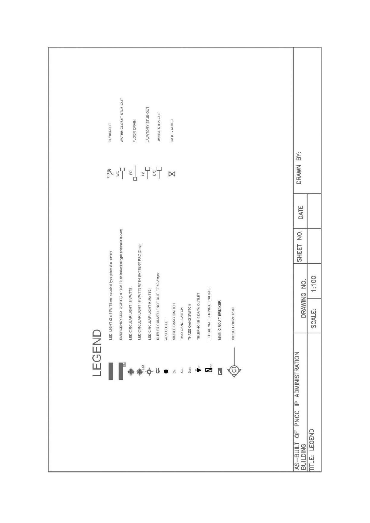| LEGEND                                |                                                                      |                   |             |                       |
|---------------------------------------|----------------------------------------------------------------------|-------------------|-------------|-----------------------|
|                                       | LED LIGHT (2 x 18W T8 on Industrial type prismatic louver)           |                   |             | <b>CLEAN-OUT</b>      |
| Ě                                     | EMERGENCY LED LIGHT (2 x 18W T8 on Industrial type prismatic louver) |                   | 총 불 리 리 회 정 | WATER CLOSET STUB-OUT |
|                                       | LED CIRCULAR LIGHT 18 WA TTS                                         |                   |             | FLOOR DRAIN           |
|                                       | LED CIRCULAR LIGHT 18 WA TTS WITH BATTERY PAC (2hrs)                 |                   |             |                       |
| $\phi \phi^{\frac{3}{2}} \phi \phi$   | LED CIRCULAR LIGHT 9 WATTS                                           |                   |             | LAVATORY STUB-OUT     |
|                                       | DUPLEX CONVENIENCE OUTLET 10 Amps                                    |                   |             | URINAL STUB-OUT       |
|                                       | ACU OUTLET                                                           |                   |             |                       |
| $\overset{0}{\omega}$                 | SINGLE GANG SWITCH                                                   |                   |             | GATE VALVES           |
| $\mathbb{S}^\pm$                      | TWO GANG SWITCH                                                      |                   |             |                       |
| $S_{\text{acc}}$                      | THREE GANG SWITCH                                                    |                   |             |                       |
|                                       | TELEPHONE & DATA OUTLET                                              |                   |             |                       |
| ø                                     | TELEPHONE TERMINAL CABINET                                           |                   |             |                       |
| Ī                                     | MAIN CIRCUIT BREAKER                                                 |                   |             |                       |
| $\bigodot$                            | CIRCUIT HOME RUN                                                     |                   |             |                       |
|                                       |                                                                      |                   |             |                       |
|                                       |                                                                      |                   |             |                       |
|                                       |                                                                      |                   |             |                       |
|                                       |                                                                      |                   |             |                       |
|                                       |                                                                      |                   |             |                       |
| OF PNOC IP ADMINISTRATION<br>BUILDING | DRAWING NO.                                                          | DATE<br>SHEET NO. | DRAWN BY:   |                       |
| TITLE: LEGEND                         | 1:100<br>SCALE:                                                      |                   |             |                       |
|                                       |                                                                      |                   |             |                       |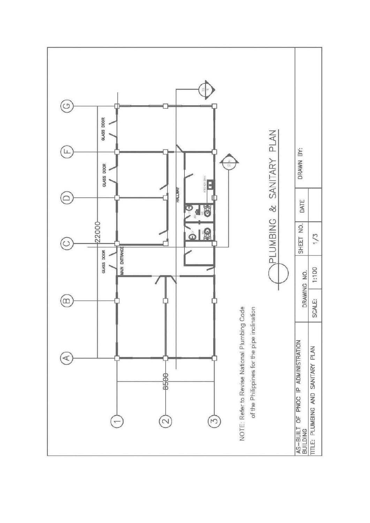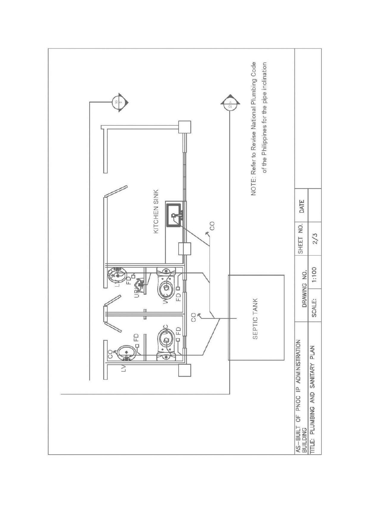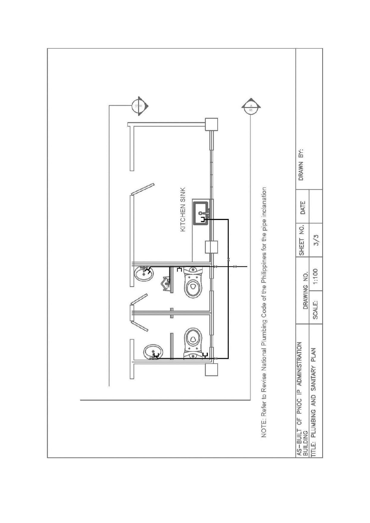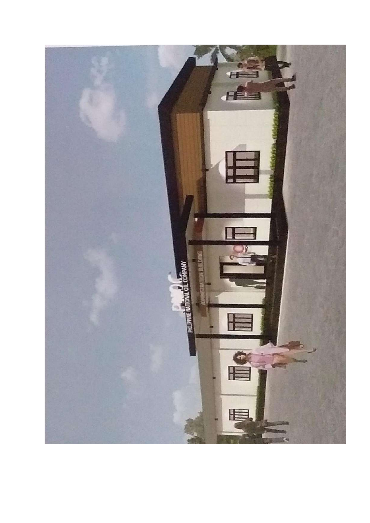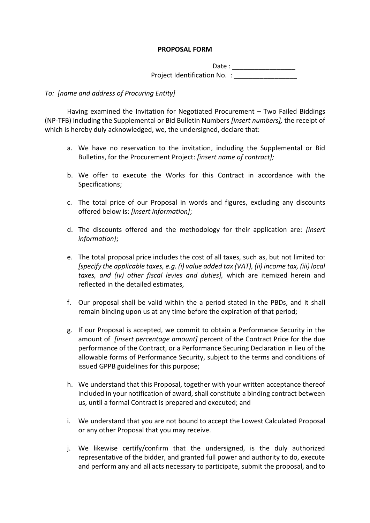#### **PROPOSAL FORM**

Date : \_\_\_\_\_\_\_\_\_\_\_\_\_\_\_\_\_ Project Identification No. :

#### *To: [name and address of Procuring Entity]*

Having examined the Invitation for Negotiated Procurement – Two Failed Biddings (NP-TFB) including the Supplemental or Bid Bulletin Numbers *[insert numbers],* the receipt of which is hereby duly acknowledged, we, the undersigned, declare that:

- a. We have no reservation to the invitation, including the Supplemental or Bid Bulletins, for the Procurement Project: *[insert name of contract];*
- b. We offer to execute the Works for this Contract in accordance with the Specifications;
- c. The total price of our Proposal in words and figures, excluding any discounts offered below is: *[insert information]*;
- d. The discounts offered and the methodology for their application are: *[insert information]*;
- e. The total proposal price includes the cost of all taxes, such as, but not limited to: *[specify the applicable taxes, e.g. (i) value added tax (VAT), (ii) income tax, (iii) local taxes, and (iv) other fiscal levies and duties],* which are itemized herein and reflected in the detailed estimates,
- f. Our proposal shall be valid within the a period stated in the PBDs, and it shall remain binding upon us at any time before the expiration of that period;
- g. If our Proposal is accepted, we commit to obtain a Performance Security in the amount of *[insert percentage amount]* percent of the Contract Price for the due performance of the Contract, or a Performance Securing Declaration in lieu of the allowable forms of Performance Security, subject to the terms and conditions of issued GPPB guidelines for this purpose;
- h. We understand that this Proposal, together with your written acceptance thereof included in your notification of award, shall constitute a binding contract between us, until a formal Contract is prepared and executed; and
- i. We understand that you are not bound to accept the Lowest Calculated Proposal or any other Proposal that you may receive.
- j. We likewise certify/confirm that the undersigned, is the duly authorized representative of the bidder, and granted full power and authority to do, execute and perform any and all acts necessary to participate, submit the proposal, and to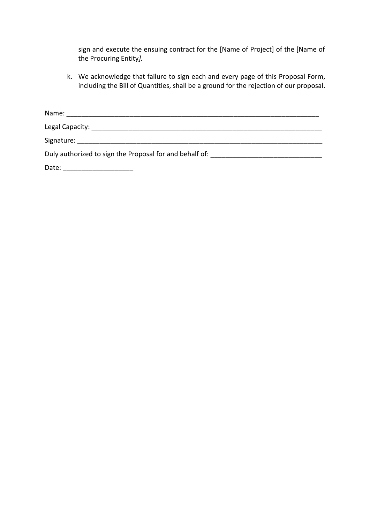sign and execute the ensuing contract for the [Name of Project] of the [Name of the Procuring Entity*].*

k. We acknowledge that failure to sign each and every page of this Proposal Form, including the Bill of Quantities, shall be a ground for the rejection of our proposal.

| Name:                                                                                                           |  |
|-----------------------------------------------------------------------------------------------------------------|--|
| Legal Capacity: The control of the control of the control of the control of the control of the control of the c |  |
| Signature: Signature                                                                                            |  |
| Duly authorized to sign the Proposal for and behalf of:                                                         |  |

Date: \_\_\_\_\_\_\_\_\_\_\_\_\_\_\_\_\_\_\_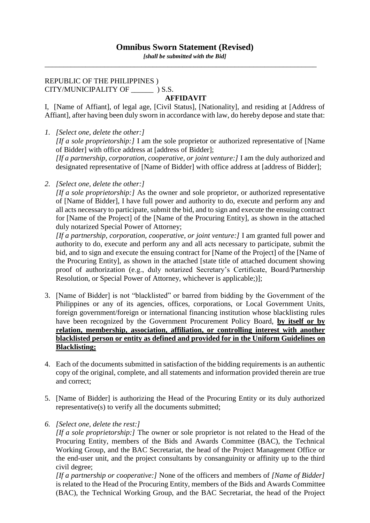*[shall be submitted with the Bid]*

\_\_\_\_\_\_\_\_\_\_\_\_\_\_\_\_\_\_\_\_\_\_\_\_\_\_\_\_\_\_\_\_\_\_\_\_\_\_\_\_\_\_\_\_\_\_\_\_\_\_\_\_\_\_\_\_\_\_\_\_\_\_\_\_\_\_\_\_\_\_\_\_\_

# REPUBLIC OF THE PHILIPPINES )

CITY/MUNICIPALITY OF  $\qquad$  ) S.S.

### **AFFIDAVIT**

I, [Name of Affiant], of legal age, [Civil Status], [Nationality], and residing at [Address of Affiant], after having been duly sworn in accordance with law, do hereby depose and state that:

*1. [Select one, delete the other:]*

*IIf a sole proprietorship: I* I am the sole proprietor or authorized representative of [Name] of Bidder] with office address at [address of Bidder];

*[If a partnership, corporation, cooperative, or joint venture:]* I am the duly authorized and designated representative of [Name of Bidder] with office address at [address of Bidder];

*2. [Select one, delete the other:]*

*[If a sole proprietorship:]* As the owner and sole proprietor, or authorized representative of [Name of Bidder], I have full power and authority to do, execute and perform any and all acts necessary to participate, submit the bid, and to sign and execute the ensuing contract for [Name of the Project] of the [Name of the Procuring Entity], as shown in the attached duly notarized Special Power of Attorney;

*[If a partnership, corporation, cooperative, or joint venture:]* I am granted full power and authority to do, execute and perform any and all acts necessary to participate, submit the bid, and to sign and execute the ensuing contract for [Name of the Project] of the [Name of the Procuring Entity], as shown in the attached [state title of attached document showing proof of authorization (e.g., duly notarized Secretary's Certificate, Board/Partnership Resolution, or Special Power of Attorney, whichever is applicable;)];

- 3. [Name of Bidder] is not "blacklisted" or barred from bidding by the Government of the Philippines or any of its agencies, offices, corporations, or Local Government Units, foreign government/foreign or international financing institution whose blacklisting rules have been recognized by the Government Procurement Policy Board, **by itself or by relation, membership, association, affiliation, or controlling interest with another blacklisted person or entity as defined and provided for in the Uniform Guidelines on Blacklisting;**
- 4. Each of the documents submitted in satisfaction of the bidding requirements is an authentic copy of the original, complete, and all statements and information provided therein are true and correct;
- 5. [Name of Bidder] is authorizing the Head of the Procuring Entity or its duly authorized representative(s) to verify all the documents submitted;
- *6. [Select one, delete the rest:]*

*[If a sole proprietorship:]* The owner or sole proprietor is not related to the Head of the Procuring Entity, members of the Bids and Awards Committee (BAC), the Technical Working Group, and the BAC Secretariat, the head of the Project Management Office or the end-user unit, and the project consultants by consanguinity or affinity up to the third civil degree;

*[If a partnership or cooperative:]* None of the officers and members of *[Name of Bidder]*  is related to the Head of the Procuring Entity, members of the Bids and Awards Committee (BAC), the Technical Working Group, and the BAC Secretariat, the head of the Project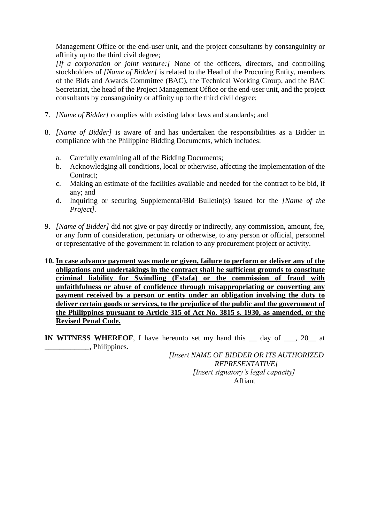Management Office or the end-user unit, and the project consultants by consanguinity or affinity up to the third civil degree;

*[If a corporation or joint venture:]* None of the officers, directors, and controlling stockholders of *[Name of Bidder]* is related to the Head of the Procuring Entity, members of the Bids and Awards Committee (BAC), the Technical Working Group, and the BAC Secretariat, the head of the Project Management Office or the end-user unit, and the project consultants by consanguinity or affinity up to the third civil degree;

- 7. *[Name of Bidder]* complies with existing labor laws and standards; and
- 8. *[Name of Bidder]* is aware of and has undertaken the responsibilities as a Bidder in compliance with the Philippine Bidding Documents, which includes:
	- a. Carefully examining all of the Bidding Documents;
	- b. Acknowledging all conditions, local or otherwise, affecting the implementation of the Contract:
	- c. Making an estimate of the facilities available and needed for the contract to be bid, if any; and
	- d. Inquiring or securing Supplemental/Bid Bulletin(s) issued for the *[Name of the Project]*.
- 9. *[Name of Bidder]* did not give or pay directly or indirectly, any commission, amount, fee, or any form of consideration, pecuniary or otherwise, to any person or official, personnel or representative of the government in relation to any procurement project or activity.
- **10. In case advance payment was made or given, failure to perform or deliver any of the obligations and undertakings in the contract shall be sufficient grounds to constitute criminal liability for Swindling (Estafa) or the commission of fraud with unfaithfulness or abuse of confidence through misappropriating or converting any payment received by a person or entity under an obligation involving the duty to deliver certain goods or services, to the prejudice of the public and the government of the Philippines pursuant to Article 315 of Act No. 3815 s. 1930, as amended, or the Revised Penal Code.**
- **IN WITNESS WHEREOF**, I have hereunto set my hand this  $\equiv$  day of  $\equiv$ , 20 $\equiv$  at \_\_\_\_\_\_\_\_\_\_\_\_, Philippines.

*[Insert NAME OF BIDDER OR ITS AUTHORIZED REPRESENTATIVE] [Insert signatory's legal capacity]* Affiant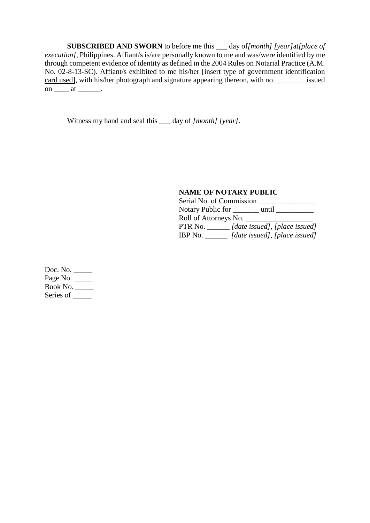**SUBSCRIBED AND SWORN** to before me this \_\_\_ day of*[month] [year]*at*[place of execution],* Philippines. Affiant/s is/are personally known to me and was/were identified by me through competent evidence of identity as defined in the 2004 Rules on Notarial Practice (A.M. No. 02-8-13-SC). Affiant/s exhibited to me his/her [insert type of government identification card used], with his/her photograph and signature appearing thereon, with no.\_\_\_\_\_\_\_\_ issued on  $\rule{1em}{0.15mm}$  at  $\rule{1em}{0.15mm}$ .

Witness my hand and seal this \_\_\_ day of *[month] [year]*.

#### **NAME OF NOTARY PUBLIC**

| Serial No. of Commission |                               |
|--------------------------|-------------------------------|
| Notary Public for ______ | until                         |
| Roll of Attorneys No.    |                               |
| PTR No.                  | [date issued], [place issued] |
| IBP No.                  | [date issued], [place issued] |

Doc. No. \_\_\_\_\_ Page No. \_\_\_\_\_ Book No. \_\_\_\_\_ Series of \_\_\_\_\_\_\_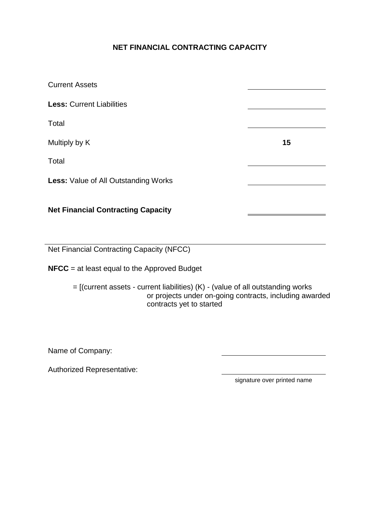# **NET FINANCIAL CONTRACTING CAPACITY**

| <b>Current Assets</b>                     |    |
|-------------------------------------------|----|
| <b>Less: Current Liabilities</b>          |    |
| Total                                     |    |
| Multiply by K                             | 15 |
| Total                                     |    |
| Less: Value of All Outstanding Works      |    |
| <b>Net Financial Contracting Capacity</b> |    |

Net Financial Contracting Capacity (NFCC)

**NFCC** = at least equal to the Approved Budget

 = [(current assets - current liabilities) (K) - (value of all outstanding works or projects under on-going contracts, including awarded contracts yet to started

Name of Company:

Authorized Representative:

signature over printed name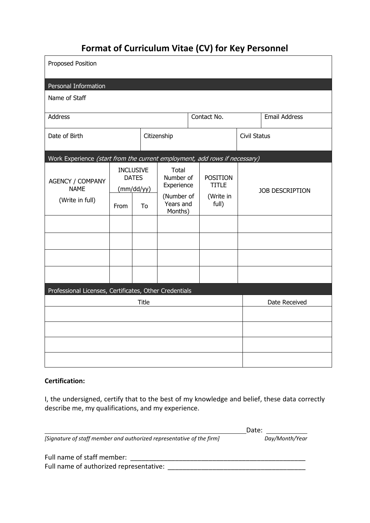# **Format of Curriculum Vitae (CV) for Key Personnel**

| Proposed Position                                                          |                          |                                  |                                                                        |                                                       |              |                      |
|----------------------------------------------------------------------------|--------------------------|----------------------------------|------------------------------------------------------------------------|-------------------------------------------------------|--------------|----------------------|
| Personal Information                                                       |                          |                                  |                                                                        |                                                       |              |                      |
| Name of Staff                                                              |                          |                                  |                                                                        |                                                       |              |                      |
| Address                                                                    |                          |                                  |                                                                        | Contact No.                                           |              | <b>Email Address</b> |
| Date of Birth                                                              |                          |                                  | Citizenship                                                            |                                                       | Civil Status |                      |
| Work Experience (start from the current employment, add rows if necessary) |                          |                                  |                                                                        |                                                       |              |                      |
| AGENCY / COMPANY<br><b>NAME</b><br>(Write in full)                         | <b>INCLUSIVE</b><br>From | <b>DATES</b><br>(mm/dd/yy)<br>To | Total<br>Number of<br>Experience<br>(Number of<br>Years and<br>Months) | <b>POSITION</b><br><b>TITLE</b><br>(Write in<br>full) |              | JOB DESCRIPTION      |
|                                                                            |                          |                                  |                                                                        |                                                       |              |                      |
|                                                                            |                          |                                  |                                                                        |                                                       |              |                      |
|                                                                            |                          |                                  |                                                                        |                                                       |              |                      |
|                                                                            |                          |                                  |                                                                        |                                                       |              |                      |
| Professional Licenses, Certificates, Other Credentials                     |                          |                                  |                                                                        |                                                       |              |                      |
|                                                                            |                          | Title                            |                                                                        |                                                       |              | Date Received        |
|                                                                            |                          |                                  |                                                                        |                                                       |              |                      |
|                                                                            |                          |                                  |                                                                        |                                                       |              |                      |
|                                                                            |                          |                                  |                                                                        |                                                       |              |                      |
|                                                                            |                          |                                  |                                                                        |                                                       |              |                      |

### **Certification:**

I, the undersigned, certify that to the best of my knowledge and belief, these data correctly describe me, my qualifications, and my experience.

| Day/Month/Year |
|----------------|
|                |
|                |
|                |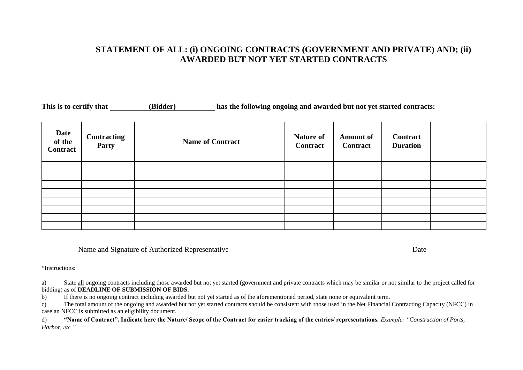# **STATEMENT OF ALL: (i) ONGOING CONTRACTS (GOVERNMENT AND PRIVATE) AND; (ii) AWARDED BUT NOT YET STARTED CONTRACTS**

**This is to certify that (Bidder) has the following ongoing and awarded but not yet started contracts:**

| <b>Date</b><br>of the<br>Contract | Contracting<br>Party | <b>Name of Contract</b> | <b>Nature of</b><br><b>Contract</b> | <b>Amount of</b><br>Contract | <b>Contract</b><br><b>Duration</b> |  |
|-----------------------------------|----------------------|-------------------------|-------------------------------------|------------------------------|------------------------------------|--|
|                                   |                      |                         |                                     |                              |                                    |  |
|                                   |                      |                         |                                     |                              |                                    |  |
|                                   |                      |                         |                                     |                              |                                    |  |
|                                   |                      |                         |                                     |                              |                                    |  |
|                                   |                      |                         |                                     |                              |                                    |  |
|                                   |                      |                         |                                     |                              |                                    |  |
|                                   |                      |                         |                                     |                              |                                    |  |
|                                   |                      |                         |                                     |                              |                                    |  |

Name and Signature of Authorized Representative Date

\*Instructions:

a) State all ongoing contracts including those awarded but not yet started (government and private contracts which may be similar or not similar to the project called for bidding) as of **DEADLINE OF SUBMISSION OF BIDS.**

b) If there is no ongoing contract including awarded but not yet started as of the aforementioned period, state none or equivalent term.

c) The total amount of the ongoing and awarded but not yet started contracts should be consistent with those used in the Net Financial Contracting Capacity (NFCC) in case an NFCC is submitted as an eligibility document.

d) **"Name of Contract". Indicate here the Nature/ Scope of the Contract for easier tracking of the entries/ representations.** *Example: "Construction of Ports, Harbor, etc."*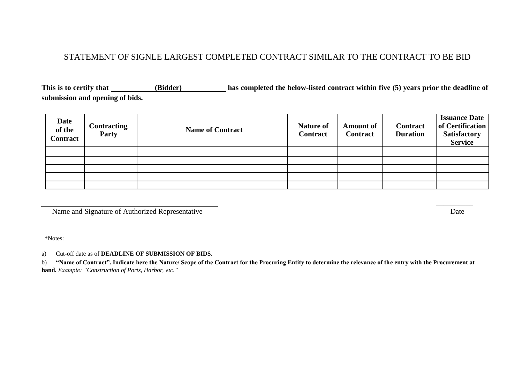# STATEMENT OF SIGNLE LARGEST COMPLETED CONTRACT SIMILAR TO THE CONTRACT TO BE BID

This is to certify that **(Bidder)** has completed the below-listed contract within five (5) years prior the deadline of **submission and opening of bids.**

| <b>Date</b><br>of the<br><b>Contract</b> | <b>Contracting</b><br>Party | <b>Name of Contract</b> | <b>Nature of</b><br><b>Contract</b> | <b>Amount of</b><br>Contract | Contract<br><b>Duration</b> | <b>Issuance Date</b><br>of Certification<br><b>Satisfactory</b><br><b>Service</b> |
|------------------------------------------|-----------------------------|-------------------------|-------------------------------------|------------------------------|-----------------------------|-----------------------------------------------------------------------------------|
|                                          |                             |                         |                                     |                              |                             |                                                                                   |
|                                          |                             |                         |                                     |                              |                             |                                                                                   |
|                                          |                             |                         |                                     |                              |                             |                                                                                   |
|                                          |                             |                         |                                     |                              |                             |                                                                                   |
|                                          |                             |                         |                                     |                              |                             |                                                                                   |

Name and Signature of Authorized Representative Date

\*Notes:

a) Cut-off date as of **DEADLINE OF SUBMISSION OF BIDS**.

b) "Name of Contract". Indicate here the Nature/ Scope of the Contract for the Procuring Entity to determine the relevance of the entry with the Procurement at **hand.** *Example: "Construction of Ports, Harbor, etc."*

 $\frac{1}{\sqrt{2}}$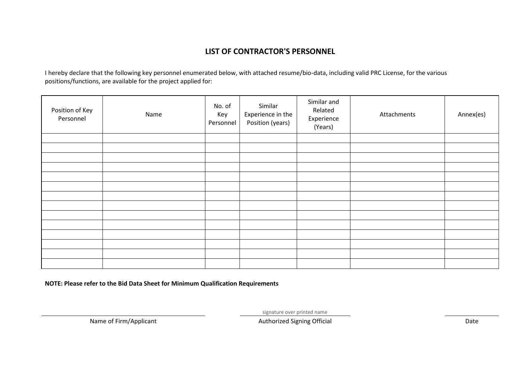# **LIST OF CONTRACTOR'S PERSONNEL**

I hereby declare that the following key personnel enumerated below, with attached resume/bio-data, including valid PRC License, for the various positions/functions, are available for the project applied for:

| Position of Key<br>Personnel | Name | No. of<br>Key<br>Personnel | Similar<br>Experience in the<br>Position (years) | Similar and<br>Related<br>Experience<br>(Years) | Attachments | Annex(es) |
|------------------------------|------|----------------------------|--------------------------------------------------|-------------------------------------------------|-------------|-----------|
|                              |      |                            |                                                  |                                                 |             |           |
|                              |      |                            |                                                  |                                                 |             |           |
|                              |      |                            |                                                  |                                                 |             |           |
|                              |      |                            |                                                  |                                                 |             |           |
|                              |      |                            |                                                  |                                                 |             |           |
|                              |      |                            |                                                  |                                                 |             |           |
|                              |      |                            |                                                  |                                                 |             |           |
|                              |      |                            |                                                  |                                                 |             |           |
|                              |      |                            |                                                  |                                                 |             |           |
|                              |      |                            |                                                  |                                                 |             |           |
|                              |      |                            |                                                  |                                                 |             |           |
|                              |      |                            |                                                  |                                                 |             |           |
|                              |      |                            |                                                  |                                                 |             |           |
|                              |      |                            |                                                  |                                                 |             |           |

**NOTE: Please refer to the Bid Data Sheet for Minimum Qualification Requirements**

signature over printed name

Name of Firm/Applicant Date